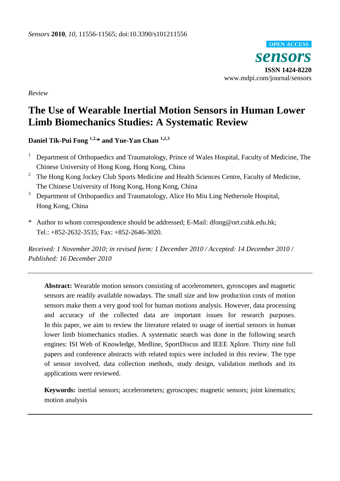*sensors* **ISSN 1424-8220** www.mdpi.com/journal/sensors **OPEN ACCESS**

*Review*

# **The Use of Wearable Inertial Motion Sensors in Human Lower Limb Biomechanics Studies: A Systematic Review**

**Daniel Tik-Pui Fong 1,2, \* and Yue-Yan Chan 1,2,3**

- <sup>1</sup> Department of Orthopaedics and Traumatology, Prince of Wales Hospital, Faculty of Medicine, The Chinese University of Hong Kong, Hong Kong, China
- 2 The Hong Kong Jockey Club Sports Medicine and Health Sciences Centre, Faculty of Medicine, The Chinese University of Hong Kong, Hong Kong, China
- <sup>3</sup> Department of Orthopaedics and Traumatology, Alice Ho Miu Ling Nethersole Hospital, Hong Kong, China
- \* Author to whom correspondence should be addressed; E-Mail: dfong@ort.cuhk.edu.hk; Tel.: +852-2632-3535; Fax: +852-2646-3020.

*Received: 1 November 2010; in revised form: 1 December 2010 / Accepted: 14 December 2010 / Published: 16 December 2010*

**Abstract:** Wearable motion sensors consisting of accelerometers, gyroscopes and magnetic sensors are readily available nowadays. The small size and low production costs of motion sensors make them a very good tool for human motions analysis. However, data processing and accuracy of the collected data are important issues for research purposes. In this paper, we aim to review the literature related to usage of inertial sensors in human lower limb biomechanics studies. A systematic search was done in the following search engines: ISI Web of Knowledge, Medline, SportDiscus and IEEE Xplore. Thirty nine full papers and conference abstracts with related topics were included in this review. The type of sensor involved, data collection methods, study design, validation methods and its applications were reviewed.

**Keywords:** inertial sensors; accelerometers; gyroscopes; magnetic sensors; joint kinematics; motion analysis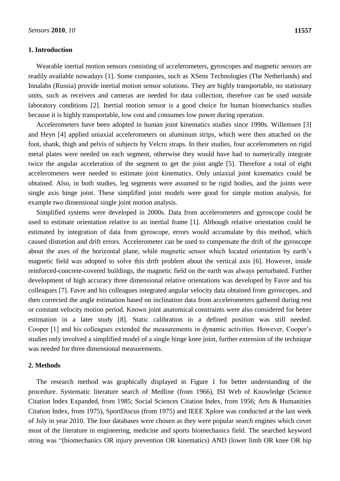## **1. Introduction**

Wearable inertial motion sensors consisting of accelerometers, gyroscopes and magnetic sensors are readily available nowadays [1]. Some companies, such as XSens Technologies (The Netherlands) and Innalabs (Russia) provide inertial motion sensor solutions. They are highly transportable, no stationary units, such as receivers and cameras are needed for data collection, therefore can be used outside laboratory conditions [2]. Inertial motion sensor is a good choice for human biomechanics studies because it is highly transportable, low cost and consumes low power during operation.

Accelerometers have been adopted in human joint kinematics studies since 1990s. Willemsen [3] and Heyn [4] applied uniaxial accelerometers on aluminum strips, which were then attached on the foot, shank, thigh and pelvis of subjects by Velcro straps. In their studies, four accelerometers on rigid metal plates were needed on each segment, otherwise they would have had to numerically integrate twice the angular acceleration of the segment to get the joint angle [5]. Therefore a total of eight accelerometers were needed to estimate joint kinematics. Only uniaxial joint kinematics could be obtained. Also, in both studies, leg segments were assumed to be rigid bodies, and the joints were single axis hinge joint. These simplified joint models were good for simple motion analysis, for example two dimensional single joint motion analysis.

Simplified systems were developed in 2000s. Data from accelerometers and gyroscope could be used to estimate orientation relative to an inertial frame [1]. Although relative orientation could be estimated by integration of data from gyroscope, errors would accumulate by this method, which caused distortion and drift errors. Accelerometer can be used to compensate the drift of the gyroscope about the axes of the horizontal plane, while magnetic sensor which located orientation by earth's magnetic field was adopted to solve this drift problem about the vertical axis [6]. However, inside reinforced-concrete-covered buildings, the magnetic field on the earth was always perturbated. Further development of high accuracy three dimensional relative orientations was developed by Favre and his colleagues [7]. Favre and his colleagues integrated angular velocity data obtained from gyroscopes, and then corrected the angle estimation based on inclination data from accelerometers gathered during rest or constant velocity motion period. Known joint anatomical constraints were also considered for better estimation in a later study [8]. Static calibration in a defined position was still needed. Cooper [1] and his colleagues extended the measurements in dynamic activities. However, Cooper's studies only involved a simplified model of a single hinge knee joint, further extension of the technique was needed for three dimensional measurements.

# **2. Methods**

The research method was graphically displayed in Figure 1 for better understanding of the procedure. Systematic literature search of Medline (from 1966), ISI Web of Knowledge (Science Citation Index Expanded, from 1985; Social Sciences Citation Index, from 1956; Arts & Humanities Citation Index, from 1975), SportDiscus (from 1975) and IEEE Xplore was conducted at the last week of July in year 2010. The four databases were chosen as they were popular search engines which cover most of the literature in engineering, medicine and sports biomechanics field. The searched keyword string was "(biomechanics OR injury prevention OR kinematics) AND (lower limb OR knee OR hip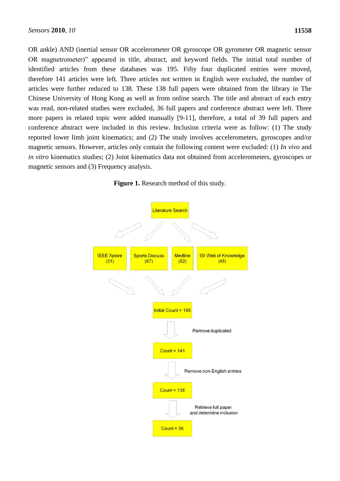OR ankle) AND (inertial sensor OR accelerometer OR gyroscope OR gyrometer OR magnetic sensor OR magnetrometer)" appeared in title, abstract, and keyword fields. The initial total number of identified articles from these databases was 195. Fifty four duplicated entries were moved, therefore 141 articles were left. Three articles not written in English were excluded, the number of articles were further reduced to 138. These 138 full papers were obtained from the library in The Chinese University of Hong Kong as well as from online search. The title and abstract of each entry was read, non-related studies were excluded, 36 full papers and conference abstract were left. Three more papers in related topic were added manually [9-11], therefore, a total of 39 full papers and conference abstract were included in this review. Inclusion criteria were as follow: (1) The study reported lower limb joint kinematics; and (2) The study involves accelerometers, gyroscopes and/or magnetic sensors. However, articles only contain the following content were excluded: (1) *In vivo* and *in vitro* kinematics studies; (2) Joint kinematics data not obtained from accelerometers, gyroscopes or magnetic sensors and (3) Frequency analysis.



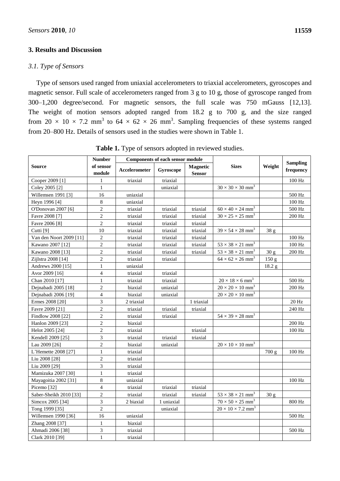# **3. Results and Discussion**

## *3.1. Type of Sensors*

Type of sensors used ranged from uniaxial accelerometers to triaxial accelerometers, gyroscopes and magnetic sensor. Full scale of accelerometers ranged from 3 g to 10 g, those of gyroscope ranged from 300–1,200 degree/second. For magnetic sensors, the full scale was 750 mGauss [12,13]. The weight of motion sensors adopted ranged from 18.2 g to 700 g, and the size ranged from 20  $\times$  10  $\times$  7.2 mm<sup>3</sup> to 64  $\times$  62  $\times$  26 mm<sup>3</sup>. Sampling frequencies of these systems ranged from 20–800 Hz. Details of sensors used in the studies were shown in Table 1.

|                         | <b>Number</b>       |               | <b>Components of each sensor module</b> |                                  |                                           |        |                              |
|-------------------------|---------------------|---------------|-----------------------------------------|----------------------------------|-------------------------------------------|--------|------------------------------|
| <b>Source</b>           | of sensor<br>module | Accelerometer | Gyroscope                               | <b>Magnetic</b><br><b>Sensor</b> | <b>Sizes</b>                              | Weight | <b>Sampling</b><br>frequency |
| Cooper 2009 [1]         | $\mathbf{1}$        | triaxial      | triaxial                                |                                  |                                           |        | 100 Hz                       |
| Coley 2005 [2]          | $\mathbf{1}$        |               | uniaxial                                |                                  | $30 \times 30 \times 30$ mm <sup>3</sup>  |        |                              |
| Willemsen 1991 [3]      | 16                  | uniaxial      |                                         |                                  |                                           |        | 500 Hz                       |
| Heyn 1996 [4]           | 8                   | uniaxial      |                                         |                                  |                                           |        | $100$ Hz                     |
| O'Donovan 2007 [6]      | $\overline{c}$      | triaxial      | triaxial                                | triaxial                         | $60 \times 40 \times 24$ mm <sup>3</sup>  |        | 500 Hz                       |
| Favre 2008 [7]          | $\overline{2}$      | triaxial      | triaxial                                | triaxial                         | $30 \times 25 \times 25$ mm <sup>3</sup>  |        | 200 Hz                       |
| Favre 2006 [8]          | $\overline{2}$      | triaxial      | triaxial                                | triaxial                         |                                           |        |                              |
| Cutti [9]               | 10                  | triaxial      | triaxial                                | triaxial                         | $39 \times 54 \times 28$ mm <sup>3</sup>  | 38 g   |                              |
| Van den Noort 2009 [11] | $\overline{2}$      | triaxial      | triaxial                                | triaxial                         |                                           |        | 100 Hz                       |
| Kawano 2007 [12]        | $\overline{2}$      | triaxial      | triaxial                                | triaxial                         | $53 \times 38 \times 21$ mm <sup>3</sup>  |        | 100 Hz                       |
| Kawano 2008 [13]        | $\sqrt{2}$          | triaxial      | triaxial                                | triaxial                         | $53 \times 38 \times 21$ mm <sup>3</sup>  | 30 g   | 200 Hz                       |
| Zijlstra 2008 [14]      | $\overline{c}$      | triaxial      | triaxial                                |                                  | $64 \times 62 \times 26$ mm <sup>3</sup>  | 150 g  |                              |
| Andrews 2000 [15]       | $\mathbf{1}$        | uniaxial      |                                         |                                  |                                           | 18.2 g |                              |
| Avor 2009 [16]          | $\overline{4}$      | triaxial      | triaxial                                |                                  |                                           |        |                              |
| Chan 2010 [17]          | $\mathbf{1}$        | triaxial      | triaxial                                |                                  | $20 \times 18 \times 6$ mm <sup>3</sup>   |        | 500 Hz                       |
| Dejnabadi 2005 [18]     | $\overline{2}$      | biaxial       | uniaxial                                |                                  | $20 \times 20 \times 10$ mm <sup>3</sup>  |        | 200 Hz                       |
| Dejnabadi 2006 [19]     | $\overline{4}$      | biaxial       | uniaxial                                |                                  | $20 \times 20 \times 10$ mm <sup>3</sup>  |        |                              |
| Ermes 2008 [20]         | 3                   | 2 triaxial    |                                         | 1 triaxial                       |                                           |        | 20 Hz                        |
| Favre 2009 [21]         | $\overline{c}$      | triaxial      | triaxial                                | triaxial                         |                                           |        | 240 Hz                       |
| Findlow 2008 [22]       | $\overline{c}$      | triaxial      | triaxial                                |                                  | $54 \times 39 \times 28$ mm <sup>3</sup>  |        |                              |
| Hanlon 2009 [23]        | $\overline{c}$      | biaxial       |                                         |                                  |                                           |        | $200\ \mathrm{Hz}$           |
| Helot 2005 [24]         | $\overline{c}$      | triaxial      |                                         | triaxial                         |                                           |        | 100 Hz                       |
| Kendell 2009 [25]       | 3                   | triaxial      | triaxial                                | triaxial                         |                                           |        |                              |
| Lau 2009 [26]           | $\overline{2}$      | biaxial       | uniaxial                                |                                  | $20 \times 10 \times 10$ mm <sup>3</sup>  |        |                              |
| L'Hemette 2008 [27]     | 1                   | triaxial      |                                         |                                  |                                           | 700 g  | $100$ Hz                     |
| Liu 2008 [28]           | $\mathbf{2}$        | triaxial      |                                         |                                  |                                           |        |                              |
| Liu 2009 [29]           | 3                   | triaxial      |                                         |                                  |                                           |        |                              |
| Mamizuka 2007 [30]      | $\mathbf{1}$        | triaxial      |                                         |                                  |                                           |        |                              |
| Mayagoitia 2002 [31]    | 8                   | uniaxial      |                                         |                                  |                                           |        | $100$ Hz                     |
| Picemo <sup>[32]</sup>  | $\overline{4}$      | triaxial      | triaxial                                | triaxial                         |                                           |        |                              |
| Saber-Sheikh 2010 [33]  | $\overline{2}$      | triaxial      | triaxial                                | triaxial                         | $53 \times 38 \times 21$ mm <sup>3</sup>  | 30 g   |                              |
| Simcox 2005 [34]        | 3                   | 2 biaxial     | 1 uniaxial                              |                                  | $70 \times 50 \times 25$ mm <sup>3</sup>  |        | 800 Hz                       |
| Tong 1999 [35]          | $\overline{2}$      |               | uniaxial                                |                                  | $20 \times 10 \times 7.2$ mm <sup>3</sup> |        |                              |
| Willemsen 1990 [36]     | 16                  | uniaxial      |                                         |                                  |                                           |        | 500 Hz                       |
| Zhang 2008 [37]         | $\mathbf{1}$        | biaxial       |                                         |                                  |                                           |        |                              |
| Ahmadi 2006 [38]        | 3                   | triaxial      |                                         |                                  |                                           |        | 500 Hz                       |
| Clark 2010 [39]         | $\mathbf{1}$        | triaxial      |                                         |                                  |                                           |        |                              |

**Table 1.** Type of sensors adopted in reviewed studies.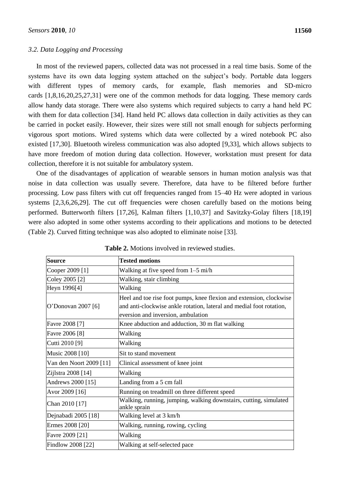# *3.2. Data Logging and Processing*

In most of the reviewed papers, collected data was not processed in a real time basis. Some of the systems have its own data logging system attached on the subject's body. Portable data loggers with different types of memory cards, for example, flash memories and SD-micro cards [1,8,16,20,25,27,31] were one of the common methods for data logging. These memory cards allow handy data storage. There were also systems which required subjects to carry a hand held PC with them for data collection [34]. Hand held PC allows data collection in daily activities as they can be carried in pocket easily. However, their sizes were still not small enough for subjects performing vigorous sport motions. Wired systems which data were collected by a wired notebook PC also existed [17,30]. Bluetooth wireless communication was also adopted [9,33], which allows subjects to have more freedom of motion during data collection. However, workstation must present for data collection, therefore it is not suitable for ambulatory system.

One of the disadvantages of application of wearable sensors in human motion analysis was that noise in data collection was usually severe. Therefore, data have to be filtered before further processing. Low pass filters with cut off frequencies ranged from 15–40 Hz were adopted in various systems [2,3,6,26,29]. The cut off frequencies were chosen carefully based on the motions being performed. Butterworth filters [17,26], Kalman filters [1,10,37] and Savitzky-Golay filters [18,19] were also adopted in some other systems according to their applications and motions to be detected (Table 2). Curved fitting technique was also adopted to eliminate noise [33].

| <b>Source</b>           | <b>Tested motions</b>                                                                                                                                                             |  |  |
|-------------------------|-----------------------------------------------------------------------------------------------------------------------------------------------------------------------------------|--|--|
| Cooper 2009 [1]         | Walking at five speed from 1-5 mi/h                                                                                                                                               |  |  |
| Coley 2005 [2]          | Walking, stair climbing                                                                                                                                                           |  |  |
| Heyn 1996[4]            | Walking                                                                                                                                                                           |  |  |
| O'Donovan 2007 [6]      | Heel and toe rise foot pumps, knee flexion and extension, clockwise<br>and anti-clockwise ankle rotation, lateral and medial foot rotation,<br>eversion and inversion, ambulation |  |  |
| Favre 2008 [7]          | Knee abduction and adduction, 30 m flat walking                                                                                                                                   |  |  |
| Favre 2006 [8]          | Walking                                                                                                                                                                           |  |  |
| Cutti 2010 [9]          | Walking                                                                                                                                                                           |  |  |
| Music 2008 [10]         | Sit to stand movement                                                                                                                                                             |  |  |
| Van den Noort 2009 [11] | Clinical assessment of knee joint                                                                                                                                                 |  |  |
| Zijlstra 2008 [14]      | Walking                                                                                                                                                                           |  |  |
| Andrews 2000 [15]       | Landing from a 5 cm fall                                                                                                                                                          |  |  |
| Avor 2009 [16]          | Running on treadmill on three different speed                                                                                                                                     |  |  |
| Chan 2010 [17]          | Walking, running, jumping, walking downstairs, cutting, simulated<br>ankle sprain                                                                                                 |  |  |
| Dejnabadi 2005 [18]     | Walking level at 3 km/h                                                                                                                                                           |  |  |
| Ermes 2008 [20]         | Walking, running, rowing, cycling                                                                                                                                                 |  |  |
| Favre 2009 [21]         | Walking                                                                                                                                                                           |  |  |
| Findlow 2008 [22]       | Walking at self-selected pace                                                                                                                                                     |  |  |

**Table 2.** Motions involved in reviewed studies.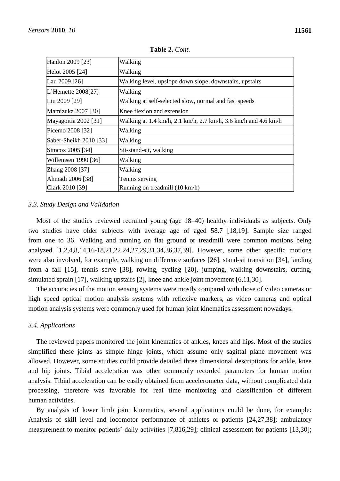| Hanlon 2009 [23]       | Walking                                                        |
|------------------------|----------------------------------------------------------------|
| Helot 2005 [24]        | Walking                                                        |
| Lau 2009 [26]          | Walking level, upslope down slope, downstairs, upstairs        |
| L'Hemette $2008[27]$   | Walking                                                        |
| Liu 2009 [29]          | Walking at self-selected slow, normal and fast speeds          |
| Mamizuka 2007 [30]     | Knee flexion and extension                                     |
| Mayagoitia 2002 [31]   | Walking at 1.4 km/h, 2.1 km/h, 2.7 km/h, 3.6 km/h and 4.6 km/h |
| Picemo 2008 [32]       | Walking                                                        |
| Saber-Sheikh 2010 [33] | Walking                                                        |
| Simcox 2005 [34]       | Sit-stand-sit, walking                                         |
| Willemsen 1990 [36]    | Walking                                                        |
| Zhang 2008 [37]        | Walking                                                        |
| Ahmadi 2006 [38]       | Tennis serving                                                 |
| Clark 2010 [39]        | Running on treadmill (10 km/h)                                 |

**Table 2.** *Cont*.

# *3.3. Study Design and Validation*

Most of the studies reviewed recruited young (age 18–40) healthy individuals as subjects. Only two studies have older subjects with average age of aged 58.7 [18,19]. Sample size ranged from one to 36. Walking and running on flat ground or treadmill were common motions being analyzed [1,2,4,8,14,16-18,21,22,24,27,29,31,34,36,37,39]. However, some other specific motions were also involved, for example, walking on difference surfaces [26], stand-sit transition [34], landing from a fall [15], tennis serve [38], rowing, cycling [20], jumping, walking downstairs, cutting, simulated sprain [17], walking upstairs [2], knee and ankle joint movement [6,11,30].

The accuracies of the motion sensing systems were mostly compared with those of video cameras or high speed optical motion analysis systems with reflexive markers, as video cameras and optical motion analysis systems were commonly used for human joint kinematics assessment nowadays.

# *3.4. Applications*

The reviewed papers monitored the joint kinematics of ankles, knees and hips. Most of the studies simplified these joints as simple hinge joints, which assume only sagittal plane movement was allowed. However, some studies could provide detailed three dimensional descriptions for ankle, knee and hip joints. Tibial acceleration was other commonly recorded parameters for human motion analysis. Tibial acceleration can be easily obtained from accelerometer data, without complicated data processing, therefore was favorable for real time monitoring and classification of different human activities.

By analysis of lower limb joint kinematics, several applications could be done, for example: Analysis of skill level and locomotor performance of athletes or patients [24,27,38]; ambulatory measurement to monitor patients' daily activities [7,816,29]; clinical assessment for patients [13,30];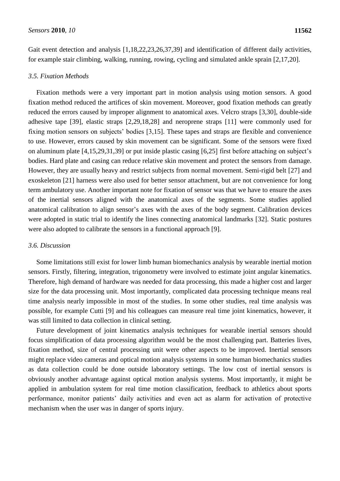Gait event detection and analysis [1,18,22,23,26,37,39] and identification of different daily activities, for example stair climbing, walking, running, rowing, cycling and simulated ankle sprain [2,17,20].

## *3.5. Fixation Methods*

Fixation methods were a very important part in motion analysis using motion sensors. A good fixation method reduced the artifices of skin movement. Moreover, good fixation methods can greatly reduced the errors caused by improper alignment to anatomical axes. Velcro straps [3,30], double-side adhesive tape [39], elastic straps [2,29,18,28] and neroprene straps [11] were commonly used for fixing motion sensors on subjects' bodies [3,15]. These tapes and straps are flexible and convenience to use. However, errors caused by skin movement can be significant. Some of the sensors were fixed on aluminum plate [4,15,29,31,39] or put inside plastic casing [6,25] first before attaching on subject's bodies. Hard plate and casing can reduce relative skin movement and protect the sensors from damage. However, they are usually heavy and restrict subjects from normal movement. Semi-rigid belt [27] and exoskeleton [21] harness were also used for better sensor attachment, but are not convenience for long term ambulatory use. Another important note for fixation of sensor was that we have to ensure the axes of the inertial sensors aligned with the anatomical axes of the segments. Some studies applied anatomical calibration to align sensor's axes with the axes of the body segment. Calibration devices were adopted in static trial to identify the lines connecting anatomical landmarks [32]. Static postures were also adopted to calibrate the sensors in a functional approach [9].

#### *3.6. Discussion*

Some limitations still exist for lower limb human biomechanics analysis by wearable inertial motion sensors. Firstly, filtering, integration, trigonometry were involved to estimate joint angular kinematics. Therefore, high demand of hardware was needed for data processing, this made a higher cost and larger size for the data processing unit. Most importantly, complicated data processing technique means real time analysis nearly impossible in most of the studies. In some other studies, real time analysis was possible, for example Cutti [9] and his colleagues can measure real time joint kinematics, however, it was still limited to data collection in clinical setting.

Future development of joint kinematics analysis techniques for wearable inertial sensors should focus simplification of data processing algorithm would be the most challenging part. Batteries lives, fixation method, size of central processing unit were other aspects to be improved. Inertial sensors might replace video cameras and optical motion analysis systems in some human biomechanics studies as data collection could be done outside laboratory settings. The low cost of inertial sensors is obviously another advantage against optical motion analysis systems. Most importantly, it might be applied in ambulation system for real time motion classification, feedback to athletics about sports performance, monitor patients' daily activities and even act as alarm for activation of protective mechanism when the user was in danger of sports injury.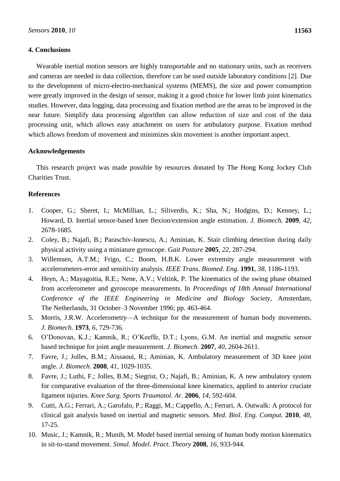## **4. Conclusions**

Wearable inertial motion sensors are highly transportable and no stationary units, such as receivers and cameras are needed in data collection, therefore can be used outside laboratory conditions [2]. Due to the development of micro-electro-mechanical systems (MEMS), the size and power consumption were greatly improved in the design of sensor, making it a good choice for lower limb joint kinematics studies. However, data logging, data processing and fixation method are the areas to be improved in the near future. Simplify data processing algorithm can allow reduction of size and cost of the data processing unit, which allows easy attachment on users for ambulatory purpose. Fixation method which allows freedom of movement and minimizes skin movement is another important aspect.

## **Acknowledgements**

This research project was made possible by resources donated by The Hong Kong Jockey Club Charities Trust.

## **References**

- 1. Cooper, G.; Sheret, I.; McMillian, L.; Siliverdis, K.; Sha, N.; Hodgins, D.; Kenney, L.; Howard, D. Inertial sensor-based knee flexion/extension angle estimation. *J. Biomech.* **2009**, *42*, 2678-1685.
- 2. Coley, B.; Najafi, B.; Paraschiv-Ionescu, A.; Aminian, K. Stair climbing detection during daily physical activity using a miniature gyroscope. *Gait Posture* **2005**, *22*, 287-294.
- 3. Willemsen, A.T.M.; Frigo, C.; Boom, H.B.K. Lower extremity angle measurement with accelerometers-error and sensitivity analysis. *IEEE Trans*. *Biomed*. *Eng*. **1991**, *38*, 1186-1193.
- 4. Heyn, A.; Mayagoitia, R.E.; Nene, A.V.; Veltink, P. The kinematics of the swing phase obtained from accelerometer and gyroscope measurements. In *Proceedings of 18th Annual International Conference of the IEEE Engineering in Medicine and Biology Society*, Amsterdam, The Netherlands, 31 October–3 November 1996; pp. 463-464.
- 5. Morris, J.R.W. Accelerometry—A technique for the measurement of human body movements. *J. Biomech.* **1973**, *6*, 729-736.
- 6. O'Donovan, K.J.; Kamnik, R.; O'Keeffe, D.T.; Lyons, G.M. An inertial and magnetic sensor based technique for joint angle measurement. *J. Biomech.* **2007**, *40*, 2604-2611.
- 7. Favre, J.; Jolles, B.M.; Aissaoui, R.; Aminian, K. Ambulatory measurement of 3D knee joint angle. *J. Biomech.* **2008**, *41*, 1029-1035.
- 8. Favre, J.; Luthi, F.; Jolles, B.M.; Siegrist, O.; Najafi, B.; Aminian, K. A new ambulatory system for comparative evaluation of the three-dimensional knee kinematics, applied to anterior cruciate ligament injuries. *Knee Surg. Sports Traumatol. Ar.* **2006**, *14*, 592-604.
- 9. Cutti, A.G.; Ferrari, A.; Garofalo, P.; Raggi, M.; Cappello, A.; Ferrari, A. Outwalk: A protocol for clinical gait analysis based on inertial and magnetic sensors. *Med. Biol. Eng. Comput.* **2010**, *48*, 17-25.
- 10. Music, J.; Kamnik, R.; Munih, M. Model based inertial sensing of human body motion kinematics in sit-to-stand movement. *Simul. Model. Pract. Theory* **2008**, *16*, 933-944.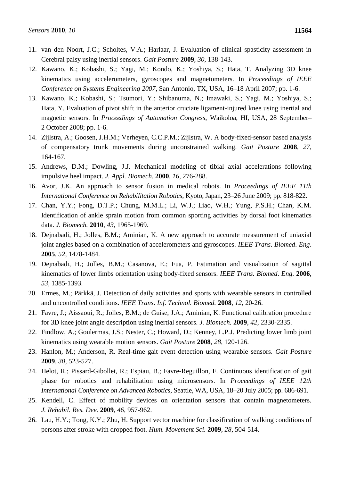- 11. van den Noort, J.C.; Scholtes, V.A.; Harlaar, J. Evaluation of clinical spasticity assessment in Cerebral palsy using inertial sensors. *Gait Posture* **2009**, *30*, 138-143.
- 12. Kawano, K.; Kobashi, S.; Yagi, M.; Kondo, K.; Yoshiya, S.; Hata, T. Analyzing 3D knee kinematics using accelerometers, gyroscopes and magnetometers. In *Proceedings of IEEE Conference on Systems Engineering 2007*, San Antonio, TX, USA, 16–18 April 2007; pp. 1-6.
- 13. Kawano, K.; Kobashi, S.; Tsumori, Y.; Shibanuma, N.; Imawaki, S.; Yagi, M.; Yoshiya, S.; Hata, Y. Evaluation of pivot shift in the anterior cruciate ligament-injured knee using inertial and magnetic sensors. In *Proceedings of Automation Congress*, Waikoloa, HI, USA, 28 September– 2 October 2008; pp. 1-6.
- 14. Zijlstra, A.; Goosen, J.H.M.; Verheyen, C.C.P.M.; Zijlstra, W. A body-fixed-sensor based analysis of compensatory trunk movements during unconstrained walking. *Gait Posture* **2008**, *27*, 164-167.
- 15. Andrews, D.M.; Dowling, J.J. Mechanical modeling of tibial axial accelerations following impulsive heel impact. *J. Appl. Biomech.* **2000**, *16*, 276-288.
- 16. Avor, J.K. An approach to sensor fusion in medical robots. In *Proceedings of IEEE 11th International Conference on Rehabilitation Robotics*, Kyoto, Japan, 23–26 June 2009; pp. 818-822.
- 17. Chan, Y.Y.; Fong, D.T.P.; Chung, M.M.L.; Li, W.J.; Liao, W.H.; Yung, P.S.H.; Chan, K.M. Identification of ankle sprain motion from common sporting activities by dorsal foot kinematics data. *J. Biomech.* **2010**, *43*, 1965-1969.
- 18. Dejnabadi, H.; Jolles, B.M.; Aminian, K. A new approach to accurate measurement of uniaxial joint angles based on a combination of accelerometers and gyroscopes. *IEEE Trans*. *Biomed*. *Eng*. **2005**, *52*, 1478-1484.
- 19. Dejnabadi, H.; Jolles, B.M.; Casanova, E.; Fua, P. Estimation and visualization of sagittal kinematics of lower limbs orientation using body-fixed sensors. *IEEE Trans*. *Biomed*. *Eng*. **2006**, *53*, 1385-1393.
- 20. Ermes, M.; Pärkkä, J. Detection of daily activities and sports with wearable sensors in controlled and uncontrolled conditions. *IEEE Trans*. *Inf. Technol. Biomed.* **2008**, *12*, 20-26.
- 21. Favre, J.; Aissaoui, R.; Jolles, B.M.; de Guise, J.A.; Aminian, K. Functional calibration procedure for 3D knee joint angle description using inertial sensors. *J. Biomech.* **2009**, *42*, 2330-2335.
- 22. Findlow, A.; Goulermas, J.S.; Nester, C.; Howard, D.; Kenney, L.P.J. Predicting lower limb joint kinematics using wearable motion sensors. *Gait Posture* **2008**, *28*, 120-126.
- 23. Hanlon, M.; Anderson, R. Real-time gait event detection using wearable sensors. *Gait Posture*  **2009**, *30*, 523-527.
- 24. Helot, R.; Pissard-Gibollet, R.; Espiau, B.; Favre-Reguillon, F. Continuous identification of gait phase for robotics and rehabilitation using microsensors. In *Proceedings of IEEE 12th International Conference on Advanced Robotics*, Seattle, WA, USA, 18–20 July 2005; pp. 686-691.
- 25. Kendell, C. Effect of mobility devices on orientation sensors that contain magnetometers. *J. Rehabil. Res. Dev.* **2009**, *46*, 957-962.
- 26. Lau, H.Y.; Tong, K.Y.; Zhu, H. Support vector machine for classification of walking conditions of persons after stroke with dropped foot. *Hum. Movement Sci.* **2009**, *28*, 504-514.